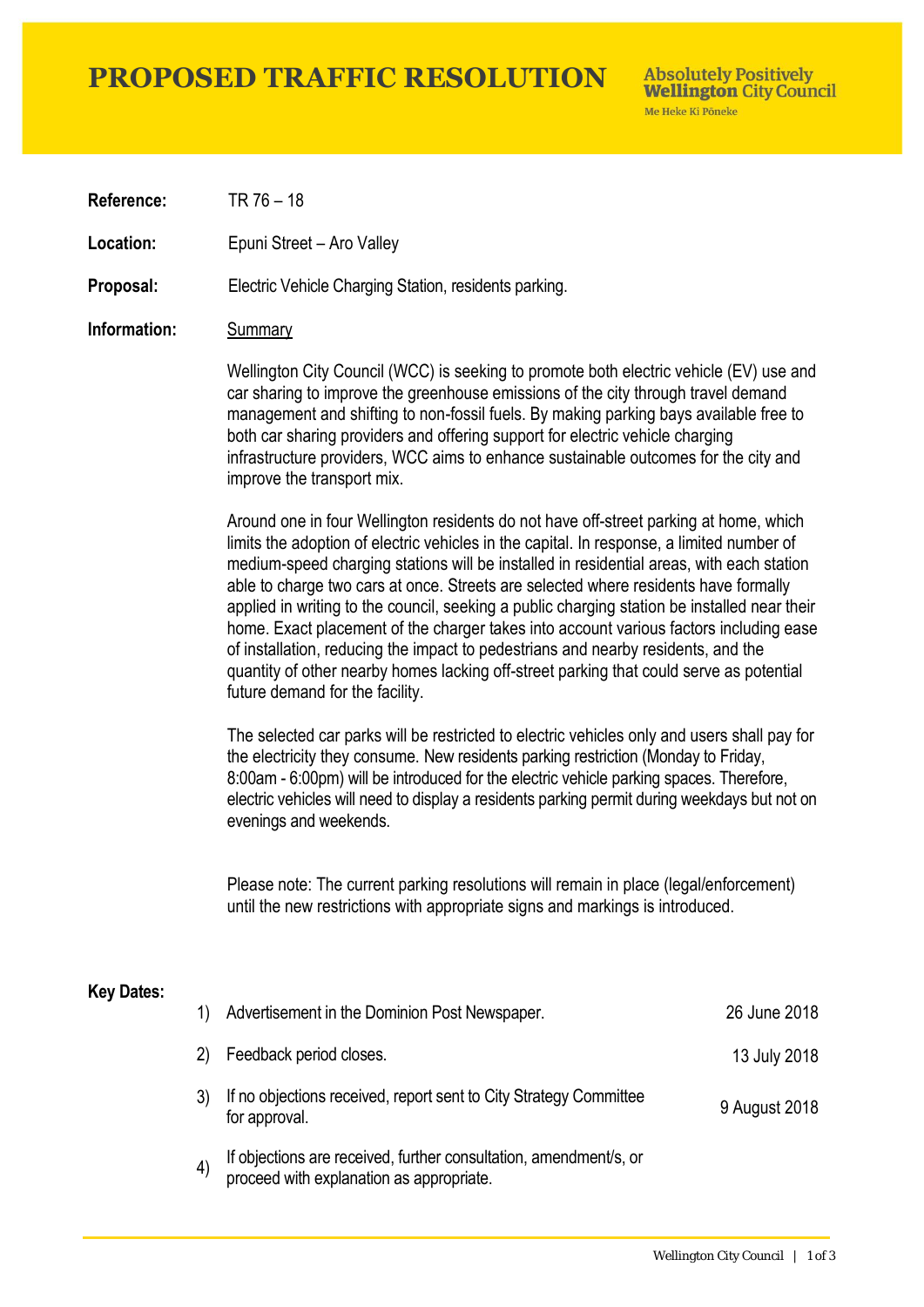### **PROPOSED TRAFFIC RESOLUTION**

**Absolutely Positively Wellington City Council** Me Heke Ki Pôneke

**Reference:** TR 76 – 18

**Location:** Epuni Street – Aro Valley

**Proposal:** Electric Vehicle Charging Station, residents parking.

#### **Information:** Summary

Wellington City Council (WCC) is seeking to promote both electric vehicle (EV) use and car sharing to improve the greenhouse emissions of the city through travel demand management and shifting to non-fossil fuels. By making parking bays available free to both car sharing providers and offering support for electric vehicle charging infrastructure providers, WCC aims to enhance sustainable outcomes for the city and improve the transport mix.

Around one in four Wellington residents do not have off-street parking at home, which limits the adoption of electric vehicles in the capital. In response, a limited number of medium-speed charging stations will be installed in residential areas, with each station able to charge two cars at once. Streets are selected where residents have formally applied in writing to the council, seeking a public charging station be installed near their home. Exact placement of the charger takes into account various factors including ease of installation, reducing the impact to pedestrians and nearby residents, and the quantity of other nearby homes lacking off-street parking that could serve as potential future demand for the facility.

The selected car parks will be restricted to electric vehicles only and users shall pay for the electricity they consume. New residents parking restriction (Monday to Friday, 8:00am - 6:00pm) will be introduced for the electric vehicle parking spaces. Therefore, electric vehicles will need to display a residents parking permit during weekdays but not on evenings and weekends.

Please note: The current parking resolutions will remain in place (legal/enforcement) until the new restrictions with appropriate signs and markings is introduced.

#### **Key Dates:**

|         | Advertisement in the Dominion Post Newspaper.                                                                 | 26 June 2018  |
|---------|---------------------------------------------------------------------------------------------------------------|---------------|
| 2)      | Feedback period closes.                                                                                       | 13 July 2018  |
|         | If no objections received, report sent to City Strategy Committee<br>for approval.                            | 9 August 2018 |
| $\vert$ | If objections are received, further consultation, amendment/s, or<br>proceed with explanation as appropriate. |               |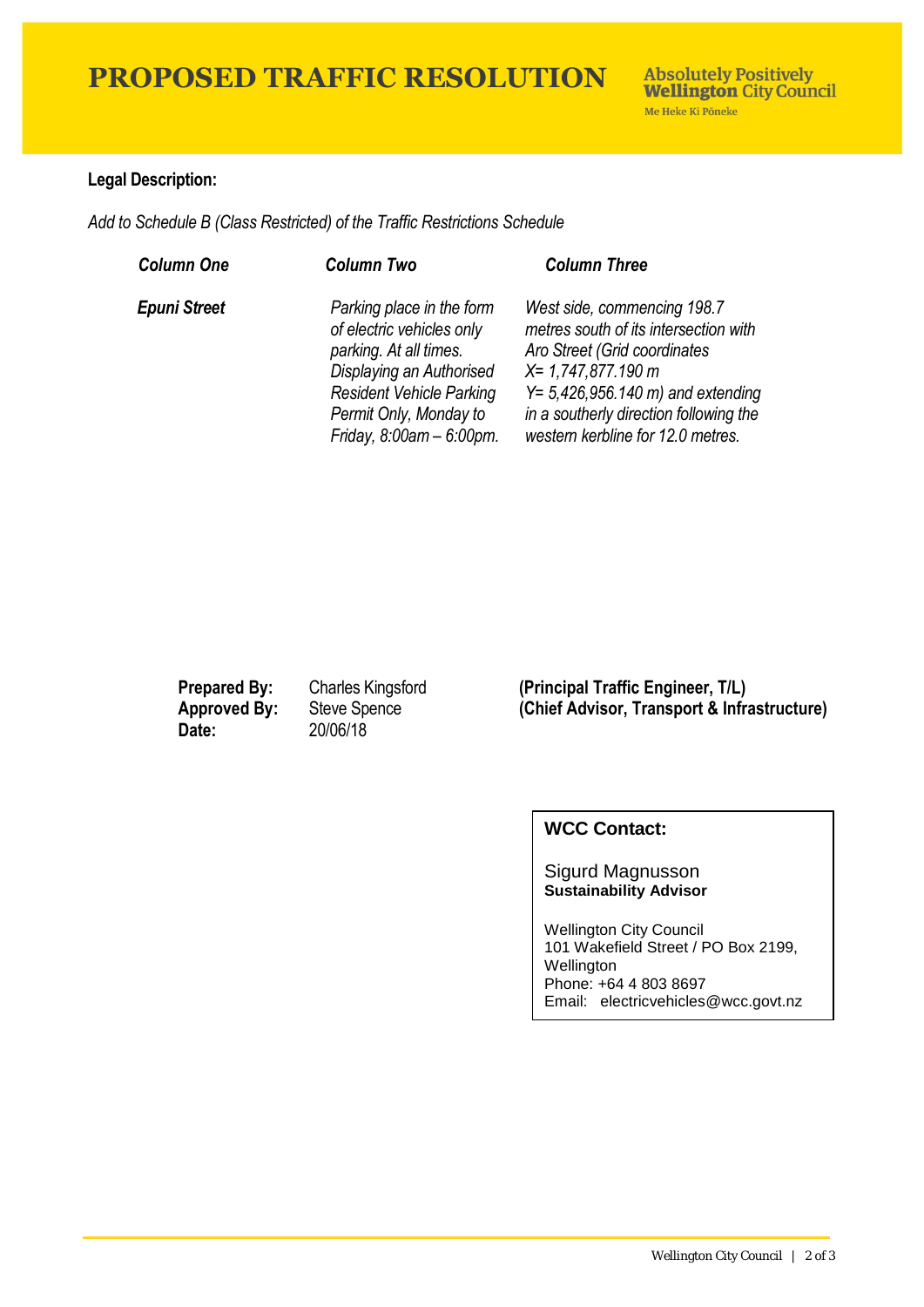## **PROPOSED TRAFFIC RESOLUTION**

### **Legal Description:**

*Add to Schedule B (Class Restricted) of the Traffic Restrictions Schedule* 

| <b>Column One</b>   | <b>Column Two</b>                                                                                                                                                                                           | <b>Column Three</b>                                                                                                                                                                                                                                      |
|---------------------|-------------------------------------------------------------------------------------------------------------------------------------------------------------------------------------------------------------|----------------------------------------------------------------------------------------------------------------------------------------------------------------------------------------------------------------------------------------------------------|
| <b>Epuni Street</b> | Parking place in the form<br>of electric vehicles only<br>parking. At all times.<br>Displaying an Authorised<br><b>Resident Vehicle Parking</b><br>Permit Only, Monday to<br>Friday, $8:00$ am - $6:00$ pm. | West side, commencing 198.7<br>metres south of its intersection with<br>Aro Street (Grid coordinates<br>X= 1,747,877.190 m<br>$Y = 5,426,956.140 \text{ m}$ and extending<br>in a southerly direction following the<br>western kerbline for 12.0 metres. |

**Date:** 20/06/18

**Prepared By:** Charles Kingsford (Principal Traffic Engineer, T/L)<br> **Approved By:** Steve Spence (Chief Advisor, Transport & Infra **(Chief Advisor, Transport & Infrastructure)** 

### **WCC Contact:**

Sigurd Magnusson **Sustainability Advisor**

Wellington City Council 101 Wakefield Street / PO Box 2199, Wellington Phone: +64 4 803 8697 Email: electricvehicles@wcc.govt.nz